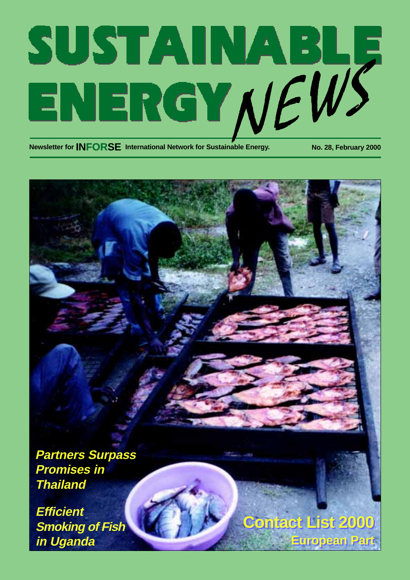# SUSTAINABLE<br>ENERGY NEWS

**Newsletter for INFORSE** International Network for Sustainable Energy. No. 28, February 2000

**Partners Surpass Promises in Thailand**

**Efficient Smoking of Fish in Uganda**

**Contact List 2000 Contact List 2000 European Part European Part**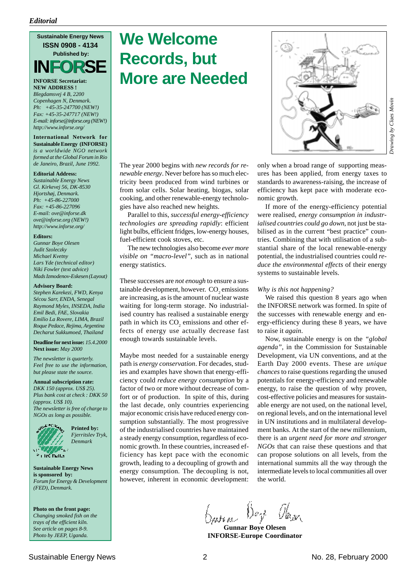**FOR Sustainable Energy News ISSN 0908 - 4134 Published by: INFORSE**

**INFORSE Secretariat: NEW ADDRESS !** *Blegdamsvej 4 B, 2200 Copenhagen N, Denmark. Ph: +45-35-247700 (NEW!) Fax: +45-35-247717 (NEW!) E-mail: inforse@inforse.org (NEW!) http://www.inforse.org/*

**International Network for Sustainable Energy (INFORSE)** *is a worldwide NGO network formed at the Global Forum in Rio de Janeiro, Brazil, June 1992.*

#### **Editorial Address:**

*Sustainable Energy News Gl. Kirkevej 56, DK-8530 Hjortshøj, Denmark. Ph: +45-86-227000 Fax: +45-86-227096 E-mail: ove@inforse.dk ove@inforse.org (NEW!) http://www.inforse.org/*

#### **Editors:**

*Gunnar Boye Olesen Judit Szoleczky Michael Kvetny Lars Yde (technical editor) Niki Fowler (text advice) Mads Izmodenov-Eskesen (Layout)*

#### **Advisory Board:**

*Stephen Karekezi, FWD, Kenya Sécou Sarr, ENDA, Senegal Raymond Myles, INSEDA, India Emil Bedi, FAE, Slovakia Emilio La Rovere, LIMA, Brazil Roque Pedace, Rejima, Argentina Decharut Sukkumoed, Thailand*

**Deadline for next issue:** *15.4.2000* **Next issue:** *May 2000*

*The newsletter is quarterly. Feel free to use the information, but please state the source.*

#### **Annual subscription rate:**

*DKK 150 (approx. US\$ 25). Plus bank cost at check : DKK 50 (approx. US\$ 10). The newsletter is free of charge to NGOs as long as possible.*



**Printed by:** *Fjerritslev Tryk, Denmark*

**Sustainable Energy News is sponsored by:** *Forum for Energy & Development (FED), Denmark.*

**Photo on the front page:** *Changing smoked fish on the trays of the efficient kiln. See article on pages 8-9. Photo by JEEP, Uganda.*

# **We Welcome Records, but More are Needed**

The year 2000 begins with *new records for renewable energy*. Never before has so much electricity been produced from wind turbines or from solar cells. Solar heating, biogas, solar cooking, and other renewable-energy technologies have also reached new heights.

Parallel to this, *successful energy-efficiency technologies are spreading rapidly*: efficient light bulbs, efficient fridges, low-energy houses, fuel-efficient cook stoves, etc.

The new technologies also become *ever more visible on "macro-level"*, such as in national energy statistics.

These successes are *not enough* to ensure a sustainable development, however.  $\mathrm{CO}_2$  emissions are increasing, as is the amount of nuclear waste waiting for long-term storage. No industrialised country has realised a sustainable energy path in which its  $CO<sub>2</sub>$  emissions and other effects of energy use actually decrease fast enough towards sustainable levels.

Maybe most needed for a sustainable energy path is *energy conservation*. For decades, studies and examples have shown that energy-efficiency could *reduce energy consumption* by a factor of two or more without decrease of comfort or of production. In spite of this, during the last decade, only countries experiencing major economic crisis have reduced energy consumption substantially. The most progressive of the industrialised countries have maintained a steady energy consumption, regardless of economic growth. In these countries, increased efficiency has kept pace with the economic growth, leading to a decoupling of growth and energy consumption. The decoupling is not, however, inherent in economic development:



only when a broad range of supporting measures has been applied, from energy taxes to standards to awareness-raising, the increase of efficiency has kept pace with moderate economic growth.

If more of the energy-efficiency potential were realised, *energy consumption in industrialised countries could go down*, not just be stabilised as in the current "best practice" countries. Combining that with utilisation of a substantial share of the local renewable-energy potential, the industrialised countries could *reduce the environmental effects* of their energy systems to sustainable levels.

#### *Why is this not happening?*

We raised this question 8 years ago when the INFORSE network was formed. In spite of the successes with renewable energy and energy-efficiency during these 8 years, we have to raise it *again*.

Now, sustainable energy is on the *"global agenda"*, in the Commission for Sustainable Development, via UN conventions, and at the Earth Day 2000 events. These are *unique chances* to raise questions regarding the unused potentials for energy-efficiency and renewable energy, to raise the question of why proven, cost-effective policies and measures for sustainable energy are not used, on the national level, on regional levels, and on the international level in UN institutions and in multilateral development banks. At the start of the new millennium, there is an *urgent need for more and stronger NGOs* that can raise these questions and that can propose solutions on all levels, from the international summits all the way through the intermediate levels to local communities all over the world.

**Gunnar Boye Olesen INFORSE-Europe Coordinator**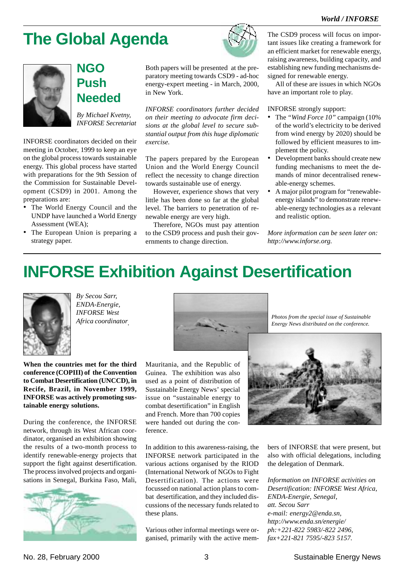# **The Global Agenda**



# **NGO Push Needed**

*By Michael Kvetny, INFORSE Secretariat*

INFORSE coordinators decided on their meeting in October, 1999 to keep an eye on the global process towards sustainable energy. This global process have started with preparations for the 9th Session of the Commission for Sustainable Development (CSD9) in 2001. Among the preparations are:

- The World Energy Council and the UNDP have launched a World Energy Assessment (WEA);
- The European Union is preparing a strategy paper.



Both papers will be presented at the preparatory meeting towards CSD9 - ad-hoc energy-expert meeting - in March, 2000, in New York.

*INFORSE coordinators further decided on their meeting to advocate firm decisions at the global level to secure substantial output from this huge diplomatic exercise.*

The papers prepared by the European Union and the World Energy Council reflect the necessity to change direction towards sustainable use of energy.

However, experience shows that very little has been done so far at the global level. The barriers to penetration of renewable energy are very high.

Therefore, NGOs must pay attention to the CSD9 process and push their governments to change direction.

The CSD9 process will focus on important issues like creating a framework for an efficient market for renewable energy, raising awareness, building capacity, and establishing new funding mechanisms designed for renewable energy.

All of these are issues in which NGOs have an important role to play.

#### INFORSE strongly support:

- The *"Wind Force 10"* campaign (10% of the world's electricity to be derived from wind energy by 2020) should be followed by efficient measures to implement the policy.
- Development banks should create new funding mechanisms to meet the demands of minor decentralised renewable-energy schemes.
- A major pilot program for "renewableenergy islands" to demonstrate renewable-energy technologies as a relevant and realistic option.

*More information can be seen later on: http://www.inforse.org.*

# **INFORSE Exhibition Against Desertification**



*By Secou Sarr, ENDA-Energie, INFORSE West Africa coordinator.*

**When the countries met for the third conference (COPIII) of the Convention to Combat Desertification (UNCCD), in Recife, Brazil, in November 1999, INFORSE was actively promoting sustainable energy solutions.**

During the conference, the INFORSE network, through its West African coordinator, organised an exhibition showing the results of a two-month process to identify renewable-energy projects that support the fight against desertification. The process involved projects and organisations in Senegal, Burkina Faso, Mali,



Mauritania, and the Republic of Guinea. The exhibition was also used as a point of distribution of Sustainable Energy News' special issue on "sustainable energy to combat desertification" in English and French. More than 700 copies were handed out during the conference.



*Photos from the special issue of Sustainable Energy News distributed on the conference.*

In addition to this awareness-raising, the INFORSE network participated in the various actions organised by the RIOD (International Network of NGOs to Fight Desertification). The actions were focussed on national action plans to combat desertification, and they included discussions of the necessary funds related to these plans.

Various other informal meetings were organised, primarily with the active members of INFORSE that were present, but also with official delegations, including the delegation of Denmark.

*Information on INFORSE activities on Desertification: INFORSE West Africa, ENDA-Energie, Senegal, att. Secou Sarr e-mail: energy2@enda.sn, http://www.enda.sn/energie/ ph:+221-822 5983/-822 2496, fax+221-821 7595/-823 5157.*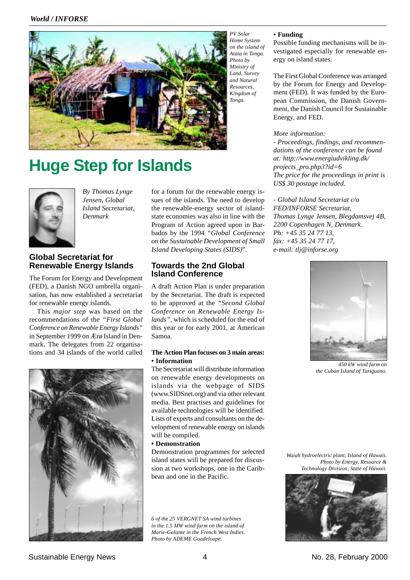#### *World / INFORSE*



**Huge Step for Islands**



*By Thomas Lynge Jensen, Global Island Secretariat, Denmark*

## **Global Secretariat for Renewable Energy Islands**

The Forum for Energy and Development (FED), a Danish NGO umbrella organisation, has now established a secretariat for renewable energy islands.

This *major step* was based on the recommendations of the *"First Global Conference on Renewable Energy Islands"* in September 1999 on Ærø Island in Denmark. The delegates from 22 organisations and 34 islands of the world called



for a forum for the renewable energy issues of the islands. The need to develop the renewable-energy sector of islandstate economies was also in line with the Program of Action agreed upon in Barbados by the 1994 *"Global Conference on the Sustainable Development of Small Island Developing States (SIDS)*".

#### **Towards the 2nd Global Island Conference**

A draft Action Plan is under preparation by the Secretariat. The draft is expected to be approved at the *"Second Global Conference on Renewable Energy Islands"*, which is scheduled for the end of this year or for early 2001, at American Samoa.

#### **The Action Plan focuses on 3 main areas: • Information**

The Secretariat will distribute information on renewable energy developments on islands via the webpage of SIDS (www.SIDSnet.org) and via other relevant media. Best practises and guidelines for available technologies will be identified. Lists of experts and consultants on the development of renewable energy on islands will be compiled.

#### **• Demonstration**

Demonstration programmes for selected island states will be prepared for discussion at two workshops, one in the Caribbean and one in the Pacific.

*6 of the 25 VERGNET SA wind turbines in the 1.5 MW wind farm on the island of Marie-Galante in the French West Indies. Photo by ADEME Guadeloupe.*

#### **• Funding**

Possible funding mechanisms will be investigated especially for renewable energy on island states.

The First Global Conference was arranged by the Forum for Energy and Development (FED). It was funded by the European Commission, the Danish Government, the Danish Council for Sustainable Energy, and FED.

#### *More information:*

*- Proceedings, findings, and recommendations of the conference can be found at: http://www.energiudvikling.dk/ projects\_pro.php3?id=6 The price for the proceedings in print is US\$ 30 postage included.*

*- Global Island Secretariat c/o FED/INFORSE Secretariat, Thomas Lynge Jensen, Blegdamsvej 4B, 2200 Copenhagen N, Denmark. Ph: +45 35 24 77 13, fax: +45 35 24 77 17, e-mail: tlj@inforse.org*



*450 kW wind farm on the Cuban Island of Turiguano.*

*Waiah hydroelectric plant, Island of Hawaii. Photo by Energy, Resource & Technology Division, State of Hawaii.*

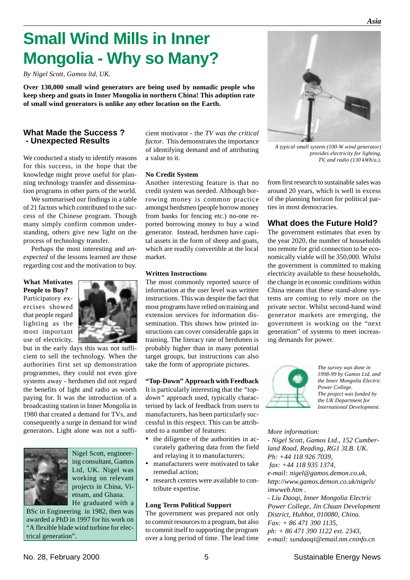# **Small Wind Mills in Inner Mongolia - Why so Many?**

*By Nigel Scott, Gamos ltd, UK.*

**Over 130,000 small wind generators are being used by nomadic people who keep sheep and goats in Inner Mongolia in northern China! This adoption rate of small wind generators is unlike any other location on the Earth.**

#### **What Made the Success ? - Unexpected Results**

We conducted a study to identify reasons for this success, in the hope that the knowledge might prove useful for planning technology transfer and dissemination programs in other parts of the world.

We summarised our findings in a table of 21 factors which contributed to the success of the Chinese program. Though many simply confirm common understanding, others give new light on the process of technology transfer.

Perhaps the most interesting and *unexpected* of the lessons learned are those regarding cost and the motivation to buy.

**What Motivates People to Buy?** Participatory exercises showed that people regard lighting as the most important



but in the early days this was not sufficient to sell the technology. When the authorities first set up demonstration programmes, they could not even give systems away - herdsmen did not regard the benefits of light and radio as worth paying for. It was the introduction of a broadcasting station in Inner Mongolia in 1980 that created a demand for TVs, and consequently a surge in demand for wind generators. Light alone was not a suffi-



Nigel Scott, engineering consultant, Gamos Ltd, UK. Nigel was working on relevant projects in China, Vietnam, and Ghana. He graduated with a

BSc in Engineering in 1982, then was awarded a PhD in 1997 for his work on "A flexible blade wind turbine for electrical generation".

cient motivator - the *TV was the critical factor*. This demonstrates the importance of identifying demand and of attributing a value to it.

#### **No Credit System**

Another interesting feature is that no credit system was needed. Although borrowing money is common practice amongst herdsmen (people borrow money from banks for fencing etc.) no-one reported borrowing money to buy a wind generator. Instead, herdsmen have capital assets in the form of sheep and goats, which are readily convertible at the local market.

#### **Written Instructions**

The most commonly reported source of information at the user level was written instructions. This was despite the fact that most programs have relied on training and extension services for information dissemination. This shows how printed instructions can cover considerable gaps in training. The literacy rate of herdsmen is probably higher than in many potential target groups, but instructions can also take the form of appropriate pictures.

#### **"Top-Down" Approach with Feedback**

It is particularly interesting that the *"topdown"* approach used, typically characterised by lack of feedback from users to manufacturers, has been particularly successful in this respect. This can be attributed to a number of features:

- the diligence of the authorities in accurately gathering data from the field and relaying it to manufacturers;
- manufacturers were motivated to take remedial action; • research centres were available to con-

# tribute expertise.

#### **Long Term Political Support**

The government was prepared not only to commit resources to a program, but also to commit itself to supporting the program over a long period of time. The lead time



 *A typical small system (100-W wind generator) provides electricity for lighting, TV, and radio (130 kWh/a.).*

from first research to sustainable sales was around 20 years, which is well in excess of the planning horizon for political parties in most democracies.

#### **What does the Future Hold?**

The government estimates that even by the year 2020, the number of households too remote for grid connection to be economically viable will be 350,000. Whilst the government is committed to making electricity available to these households, the change in economic conditions within China means that these stand-alone systems are coming to rely more on the private sector. Whilst second-hand wind generator markets are emerging, the government is working on the "next generation" of systems to meet increasing demands for power.



*The survey was done in 1998-99 by Gamos Ltd. and the Inner Mongolia Electric Power College. The project was funded by the UK Department for International Development.*

#### *More information:*

*- Nigel Scott, Gamos Ltd., 152 Cumberland Road, Reading, RG1 3LB. UK. Ph: +44 118 926 7039, fax: +44 118 935 1374, e-mail: nigel@gamos.demon.co.uk, http://www.gamos.demon.co.uk/nigels/ imwweb.htm . - Liu Daoqi, Inner Mongolia Electric Power College, Jin Chuan Development District, Huhhot, 010080, China.*

*Fax: + 86 471 390 1135, ph: + 86 471 390 1122 ext. 2343, e-mail: sundaoqi@email.nm.cninfo.cn*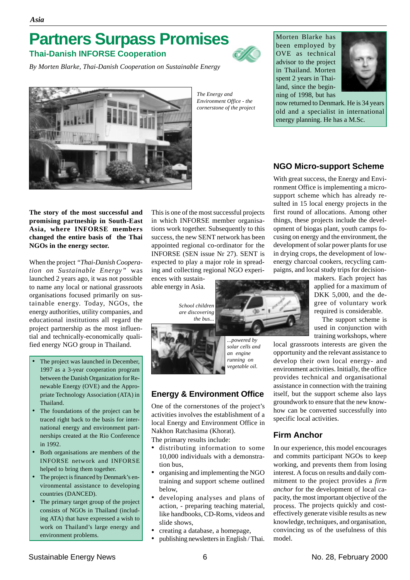# **Partners Surpass Promises**

**Thai-Danish INFORSE Cooperation**

*By Morten Blarke, Thai-Danish Cooperation on Sustainable Energy*



*The Energy and Environment Office - the cornerstone of the project* Morten Blarke has been employed by OVE as technical advisor to the project in Thailand. Morten spent 2 years in Thailand, since the beginning of 1998, but has



now returned to Denmark. He is 34 years old and a specialist in international energy planning. He has a M.Sc.

# **NGO Micro-support Scheme**

With great success, the Energy and Environment Office is implementing a microsupport scheme which has already resulted in 15 local energy projects in the first round of allocations. Among other things, these projects include the development of biogas plant, youth camps focusing on energy and the environment, the development of solar power plants for use in drying crops, the development of lowenergy charcoal cookers, recycling campaigns, and local study trips for decision-

> makers. Each project has applied for a maximum of DKK 5,000, and the degree of voluntary work required is considerable.

The support scheme is used in conjunction with training workshops, where

local grassroots interests are given the opportunity and the relevant assistance to develop their own local energy- and environment activities. Initially, the office provides technical and organisational assistance in connection with the training itself, but the support scheme also lays groundwork to ensure that the new knowhow can be converted successfully into specific local activities.

# **Firm Anchor**

In our experience, this model encourages and commits participant NGOs to keep working, and prevents them from losing interest. A focus on results and daily commitment to the project provides a *firm anchor* for the development of local capacity, the most important objective of the process. The projects quickly and costeffectively generate visible results as new knowledge, techniques, and organisation, convincing us of the usefulness of this model.

**The story of the most successful and promising partneship in South-East Asia, where INFORSE members changed the entire basis of the Thai NGOs in the energy sector.**

When the project *"Thai-Danish Cooperation on Sustainable Energy"* was launched 2 years ago, it was not possible to name any local or national grassroots organisations focused primarily on sustainable energy. Today, NGOs, the energy authorities, utility companies, and educational institutions all regard the project partnership as the most influential and technically-economically qualified energy NGO group in Thailand.

- The project was launched in December, 1997 as a 3-year cooperation program between the Danish Organization for Renewable Energy (OVE) and the Appropriate Technology Association (ATA) in Thailand.
- The foundations of the project can be traced right back to the basis for international energy and environment partnerships created at the Rio Conference in 1992.
- Both organisations are members of the INFORSE network and INFORSE helped to bring them together.
- The project is financed by Denmark's environmental assistance to developing countries (DANCED).
- The primary target group of the project consists of NGOs in Thailand (including ATA) that have expressed a wish to work on Thailand's large energy and environment problems.

This is one of the most successful projects in which INFORSE member organisations work together. Subsequently to this success, the new SENT network has been appointed regional co-ordinator for the INFORSE (SEN issue Nr 27). SENT is expected to play a major role in spreading and collecting regional NGO experi-

ences with sustainable energy in Asia.

> *School children are discovering the bus...*



*...powered by solar cells and an engine running on vegetable oil.*

# **Energy & Environment Office**

One of the cornerstones of the project's activities involves the establishment of a local Energy and Environment Office in Nakhon Ratchasima (Khorat).

The primary results include:

- distributing information to some 10,000 individuals with a demonstration bus,
- organising and implementing the NGO training and support scheme outlined below,
- developing analyses and plans of action, - preparing teaching material, like handbooks, CD-Roms, videos and slide shows,
- creating a database, a homepage,
- publishing newsletters in English / Thai.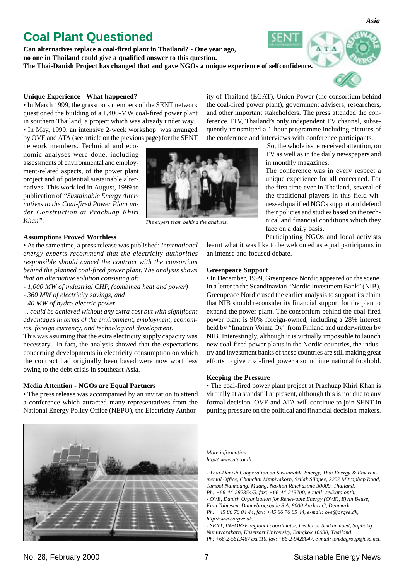# **Coal Plant Questioned**

**Can alternatives replace a coal-fired plant in Thailand? - One year ago, no one in Thailand could give a qualified answer to this question. The Thai-Danish Project has changed that and gave NGOs a unique experience of selfconfidence.**

#### **Unique Experience - What happened?**

• In March 1999, the grassroots members of the SENT network questioned the building of a 1,400-MW coal-fired power plant in southern Thailand, a project which was already under way. • In May, 1999, an intensive 2-week workshop was arranged by OVE and ATA (see article on the previous page) for the SENT

network members. Technical and economic analyses were done, including assessments of environmental and employment-related aspects, of the power plant project and of potential sustainable alternatives. This work led in August, 1999 to publication of *"Sustainable Energy Alternatives to the Coal-fired Power Plant under Construction at Prachuap Khiri Khan".*

#### **Assumptions Proved Worthless**

• At the same time, a press release was published: *International energy experts recommend that the electricity authorities responsible should cancel the contract with the consortium behind the planned coal-fired power plant. The analysis shows that an alternative solution consisting of:*

- - *1,000 MW of industrial CHP, (combined heat and power)*
- *360 MW of electricity savings, and*
- *40 MW of hydro-electric power*

*... could be achieved without any extra cost but with significant advantages in terms of the environment, employment, economics, foreign currency, and technological development.*

This was assuming that the extra electricity supply capacity was necessary. In fact, the analysis showed that the expectations concerning developments in electricity consumption on which the contract had originally been based were now worthless owing to the debt crisis in southeast Asia.

#### **Media Attention - NGOs are Equal Partners**

• The press release was accompanied by an invitation to attend a conference which attracted many representatives from the National Energy Policy Office (NEPO), the Electricity Author-



ity of Thailand (EGAT), Union Power (the consortium behind the coal-fired power plant), government advisers, researchers, and other important stakeholders. The press attended the conference. ITV, Thailand's only independent TV channel, subsequently transmitted a 1-hour programme including pictures of the conference and interviews with conference participants.

SENT

 So, the whole issue received attention, on TV as well as in the daily newspapers and in monthly magazines.

The conference was in every respect a unique experience for all concerned. For the first time ever in Thailand, several of the traditional players in this field witnessed qualified NGOs support and defend their policies and studies based on the technical and financial conditions which they face on a daily basis.

Participating NGOs and local activists learnt what it was like to be welcomed as equal participants in an intense and focused debate.

#### **Greenpeace Support**

• In December, 1999, Greenpeace Nordic appeared on the scene. In a letter to the Scandinavian "Nordic Investment Bank" (NIB), Greenpeace Nordic used the earlier analysis to support its claim that NIB should reconsider its financial support for the plan to expand the power plant. The consortium behind the coal-fired power plant is 90% foreign-owned, including a 28% interest held by "Imatran Voima Oy" from Finland and underwritten by NIB. Interestingly, although it is virtually impossible to launch new coal-fired power plants in the Nordic countries, the industry and investment banks of these countries are still making great efforts to give coal-fired power a sound international foothold.

#### **Keeping the Pressure**

• The coal-fired power plant project at Prachuap Khiri Khan is virtually at a standstill at present, although this is not due to any formal decision. OVE and ATA will continue to join SENT in putting pressure on the political and financial decision-makers.

*More information: http//:www.ata.or.th*

*- Thai-Danish Cooperation on Sustainable Energy, Thai Energy & Environmental Office, Chanchai Limpiyakorn, Srilak Silapee, 2252 Mitraphap Road, Tambol Naimuang, Muang, Nakhon Ratchasima 30000, Thailand. Ph: +66-44-282354/5, fax: +66-44-213700, e-mail: se@ata.or.th. - OVE, Danish Organization for Renewable Energy (OVE), Ejvin Beuse, Finn Tobiesen, Dannebrogsgade 8 A, 8000 Aarhus C, Denmark. Ph: +45 86 76 04 44, fax: +45 86 76 05 44, e-mail: ove@orgve.dk, http://www.orgve.dk.*

*- SENT, INFORSE regional coordinator, Decharut Sukkumnoed, Suphakij Nuntavorakarn, Kasetsart University, Bangkok 10930, Thailand. Ph: +66-2-5613467 ext 110, fax: +66-2-9428047, e-mail: tonklagroup@usa.net.*



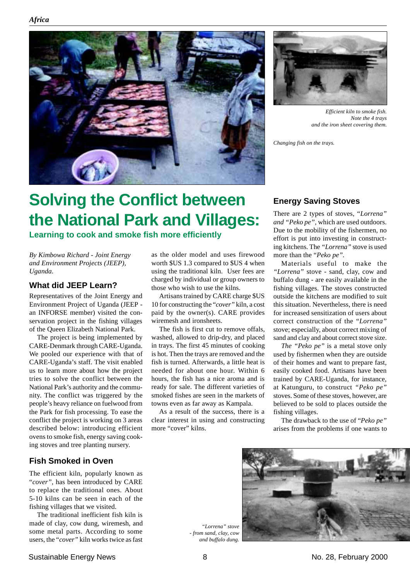*Africa*





*Efficient kiln to smoke fish. Note the 4 trays and the iron sheet covering them.*

*Changing fish on the trays.*

# **Solving the Conflict between the National Park and Villages:**

**Learning to cook and smoke fish more efficiently**

*By Kimbowa Richard - Joint Energy and Environment Projects (JEEP), Uganda.*

# **What did JEEP Learn?**

Representatives of the Joint Energy and Environment Project of Uganda (JEEP an INFORSE member) visited the conservation project in the fishing villages of the Queen Elizabeth National Park.

The project is being implemented by CARE-Denmark through CARE-Uganda. We pooled our experience with that of CARE-Uganda's staff. The visit enabled us to learn more about how the project tries to solve the conflict between the National Park's authority and the community. The conflict was triggered by the people's heavy reliance on fuelwood from the Park for fish processing. To ease the conflict the project is working on 3 areas described below: introducing efficient ovens to smoke fish, energy saving cooking stoves and tree planting nursery.

# **Fish Smoked in Oven**

The efficient kiln, popularly known as "*cover",* has been introduced by CARE to replace the traditional ones. About 5-10 kilns can be seen in each of the fishing villages that we visited.

The traditional inefficient fish kiln is made of clay, cow dung, wiremesh, and some metal parts. According to some users, the "*cover"* kiln works twice as fast as the older model and uses firewood worth \$US 1.3 compared to \$US 4 when using the traditional kiln. User fees are charged by individual or group owners to those who wish to use the kilns.

Artisans trained by CARE charge \$US 10 for constructing the "*cover"* kiln, a cost paid by the owner(s). CARE provides wiremesh and ironsheets.

The fish is first cut to remove offals, washed, allowed to drip-dry, and placed in trays. The first 45 minutes of cooking is hot. Then the trays are removed and the fish is turned. Afterwards, a little heat is needed for about one hour. Within 6 hours, the fish has a nice aroma and is ready for sale. The different varieties of smoked fishes are seen in the markets of towns even as far away as Kampala.

As a result of the success, there is a clear interest in using and constructing more "cover" kilns.

# **Energy Saving Stoves**

There are 2 types of stoves, "*Lorrena" and "Peko pe",* which are used outdoors. Due to the mobility of the fishermen, no effort is put into investing in constructing kitchens. The *"Lorrena"* stove is used more than the "*Peko pe".*

Materials useful to make the *"Lorrena"* stove - sand, clay, cow and buffalo dung - are easily available in the fishing villages. The stoves constructed outside the kitchens are modified to suit this situation. Nevertheless, there is need for increased sensitization of users about correct construction of the "*Lorrena"* stove; especially, about correct mixing of sand and clay and about correct stove size.

*The "Peko pe"* is a metal stove only used by fishermen when they are outside of their homes and want to prepare fast, easily cooked food. Artisans have been trained by CARE-Uganda, for instance, at Katunguru, to construct *"Peko pe"* stoves. Some of these stoves, however, are believed to be sold to places outside the fishing villages.

The drawback to the use of "*Peko pe"* arises from the problems if one wants to



*"Lorrena" stove - from sand, clay, cow and buffalo dung.*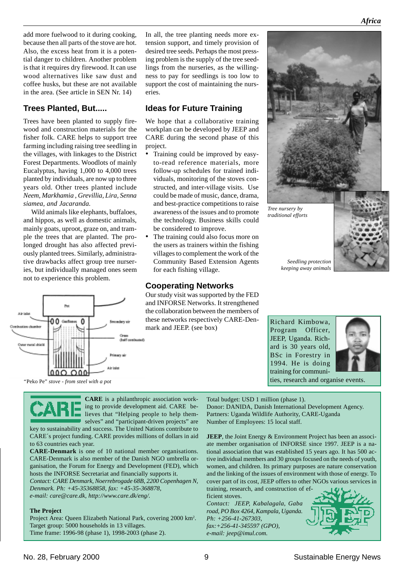add more fuelwood to it during cooking, because then all parts of the stove are hot. Also, the excess heat from it is a potential danger to children. Another problem is that it requires dry firewood. It can use wood alternatives like saw dust and coffee husks, but these are not available in the area. (See article in SEN Nr. 14)

## **Trees Planted, But.....**

Trees have been planted to supply firewood and construction materials for the fisher folk. CARE helps to support tree farming including raising tree seedling in the villages, with linkages to the District Forest Departments. Woodlots of mainly Eucalyptus, having 1,000 to 4,000 trees planted by individuals, are now up to three years old. Other trees planted include *Neem, Markhamia , Grevillia, Lira, Senna siamea, and Jacaranda.*

Wild animals like elephants, buffaloes, and hippos, as well as domestic animals, mainly goats, uproot, graze on, and trample the trees that are planted. The prolonged drought has also affected previously planted trees. Similarly, administrative drawbacks affect group tree nurseries, but individually managed ones seem not to experience this problem.



In all, the tree planting needs more extension support, and timely provision of desired tree seeds. Perhaps the most pressing problem is the supply of the tree seedlings from the nurseries, as the willingness to pay for seedlings is too low to support the cost of maintaining the nurseries.

## **Ideas for Future Training**

We hope that a collaborative training workplan can be developed by JEEP and CARE during the second phase of this project.

- Training could be improved by easyto-read reference materials, more follow-up schedules for trained individuals, monitoring of the stoves constructed, and inter-village visits. Use could be made of music, dance, drama, and best-practice competitions to raise awareness of the issues and to promote the technology. Business skills could be considered to improve.
- The training could also focus more on the users as trainers within the fishing villages to complement the work of the Community Based Extension Agents for each fishing village.

#### **Cooperating Networks**

**CARE** is a philanthropic association working to provide development aid. CARE believes that "Helping people to help themselves" and "participant-driven projects" are

key to sustainability and success. The United Nations contribute to CARE´s project funding. CARE provides millions of dollars in aid

**CARE-Denmark** is one of 10 national member organisations. CARE-Denmark is also member of the Danish NGO umbrella organisation, the Forum for Energy and Development (FED), which hosts the INFORSE Secretariat and financially supports it. *Contact: CARE Denmark, Noerrebrogade 68B, 2200 Copenhagen N,*

Project Area: Queen Elizabeth National Park, covering 2000 km<sup>2</sup>.

*Denmark. Ph: +45-35368858, fax: +45-35-368878, e-mail: care@care.dk, http://www.care.dk/eng/.*

Target group: 5000 households in 13 villages. Time frame: 1996-98 (phase 1), 1998-2003 (phase 2).

Our study visit was supported by the FED and INFORSE Networks. It strengthened the collaboration between the members of these networks respectively CARE-Denmark and JEEP. (see box)



*Tree nursery by traditional efforts*



*Africa*

*Seedling protection keeping away animals*

Richard Kimbowa, Program Officer, JEEP, Uganda. Richard is 30 years old, BSc in Forestry in 1994. He is doing training for communi-



Total budget: USD 1 million (phase 1). Donor: DANIDA, Danish International Development Agency. Partners: Uganda Wildlife Authority, CARE-Uganda Number of Employees: 15 local staff.

**JEEP**, the Joint Energy & Environment Project has been an associate member organisation of INFORSE since 1997. JEEP is a national association that was established 15 years ago. It has 500 active individual members and 30 groups focused on the needs of youth, women, and children. Its primary purposes are nature conservation and the linking of the issues of environment with those of energy. To cover part of its cost, JEEP offers to other NGOs various services in training, research, and construction of ef-

ficient stoves. *Contact: JEEP, Kabalagala, Gaba road, PO Box 4264, Kampala, Uganda. Ph: +256-41-267303, fax:+256-41-345597 (GPO), e-mail: jeep@imul.com.*



**The Project**

to 63 countries each year.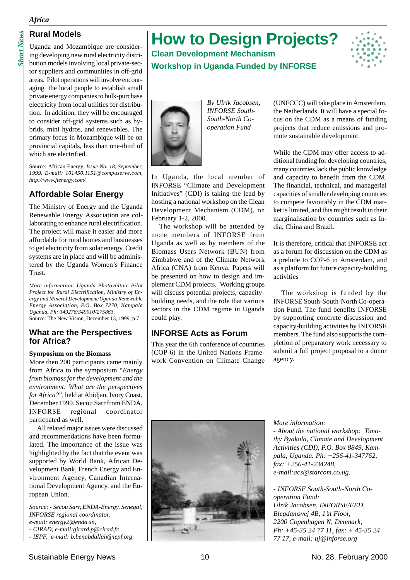#### *Africa*

*Short News*

**Short News** 

# **Rural Models**

Uganda and Mozambique are considering developing new rural electricity distribution models involving local private-sector suppliers and communities in off-grid areas. Pilot operations will involve encouraging the local people to establish small private energy companies to bulk-purchase electricity from local utilities for distribution. In addition, they will be encouraged to consider off-grid systems such as hybrids, mini hydros, and renewables. The primary focus in Mozambique will be on

which are electrified.

Source: African Energy*, Issue No. 18, September, 1999. E-mail: 101450.1151@compuserve.com, http://www.ftenergy.com/.*

provincial capitals, less than one-third of

# **Affordable Solar Energy**

The Ministry of Energy and the Uganda Renewable Energy Association are collaborating to enhance rural electrification. The project will make it easier and more affordable for rural homes and businesses to get electricity from solar energy. Credit systems are in place and will be administered by the Uganda Women's Finance Trust.

*More information: Uganda Photovoltaic Pilot Project for Rural Electrification, Ministry of Energy and Mineral Development/Uganda Renewable Energy Association, P.O. Box 7270, Kampala Uganda. Ph: 349276/349010/275863.* Source: The New Vision, December 13, 1999, p 7

#### **What are the Perspectives for Africa?**

#### **Symposium on the Biomass**

More then 200 participants came mainly from Africa to the symposium "*Energy from biomass for the development and the environment: What are the perspectives for Africa?*", held at Abidjan, Ivory Coast, December 1999. Secou Sarr from ENDA, INFORSE regional coordinator particpated as well.

All related major issues were discussed and recommendations have been formulated. The importance of the issue was highlighted by the fact that the event was supported by World Bank, African Development Bank, French Energy and Environment Agency, Canadian International Development Agency, and the European Union.

*Source: - Secou Sarr, ENDA-Energy, Senegal, INFORSE regional coordinator,*

- *e-mail: energy2@enda.sn,*
- *CIRAD, e-mail:girard.p@cirad.fr,*
- *IEPF, e-mail: b.benabdallah@iepf.org*

# **How to Design Projects?**

# **Clean Development Mechanism Workshop in Uganda Funded by INFORSE**





*By Ulrik Jacobsen, INFORSE South-South-North Cooperation Fund*

In Uganda, the local member of INFORSE "Climate and Development Initiatives" (CDI) is taking the lead by hosting a national workshop on the Clean Development Mechanism (CDM), on February 1-2, 2000.

The workshop will be attended by more members of INFORSE from Uganda as well as by members of the Biomass Users Network (BUN) from Zimbabwe and of the Climate Network Africa (CNA) from Kenya. Papers will be presented on how to design and implement CDM projects. Working groups will discuss potential projects, capacitybuilding needs, and the role that various sectors in the CDM regime in Uganda could play.

## **INFORSE Acts as Forum**

This year the 6th conference of countries (COP-6) in the United Nations Framework Convention on Climate Change (UNFCCC) will take place in Amsterdam, the Netherlands. It will have a special focus on the CDM as a means of funding projects that reduce emissions and promote sustainable development.

While the CDM may offer access to additional funding for developing countries, many countries lack the public knowledge and capacity to benefit from the CDM. The financial, technical, and managerial capacities of smaller developing countries to compete favourably in the CDM market is limited, and this might result in their marginalisation by countries such as India, China and Brazil.

It is therefore, critical that INFORSE act as a forum for discussion on the CDM as a prelude to COP-6 in Amsterdam, and as a platform for future capacity-building activities

The workshop is funded by the INFORSE South-South-North Co-operation Fund. The fund benefits INFORSE by supporting concrete discussion and capacity-building activities by INFORSE members. The fund also supports the completion of preparatory work necessary to submit a full project proposal to a donor agency.



*More information:*

*- About the national workshop: Timothy Byakola, Climate and Development Activities (CDI), P.O. Box 8849, Kampala, Uganda. Ph: +256-41-347762, fax: +256-41-234248, e-mail:acs@starcom.co.ug.*

*- INFORSE South-South-North Cooperation Fund: Ulrik Jacobsen, INFORSE/FED, Blegdamsvej 4B, 1'st Floor, 2200 Copenhagen N, Denmark, Ph: +45-35 24 77 11, fax: + 45-35 24 77 17, e-mail: uj@inforse.org*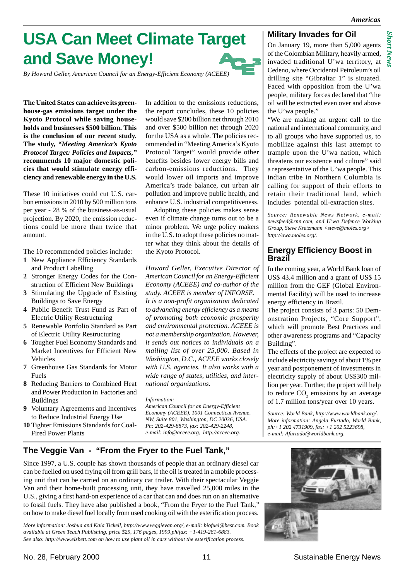*Short News*

# **USA Can Meet Climate Target and Save Money!**

*By Howard Geller, American Council for an Energy-Efficient Economy (ACEEE)*

**The United States can achieve its greenhouse-gas emissions target under the Kyoto Protocol while saving households and businesses \$500 billion. This is the conclusion of our recent study. The study,** *"Meeting America's Kyoto Protocol Target: Policies and Impacts,"* **recommends 10 major domestic policies that would stimulate energy efficiency and renewable energy in the U.S.**

These 10 initiatives could cut U.S. carbon emissions in 2010 by 500 million tons per year - 28 % of the business-as-usual projection. By 2020, the emission reductions could be more than twice that amount.

The 10 recommended policies include:

- **1** New Appliance Efficiency Standards and Product Labelling
- **2** Stronger Energy Codes for the Construction of Efficient New Buildings
- **3** Stimulating the Upgrade of Existing Buildings to Save Energy
- **4** Public Benefit Trust Fund as Part of Electric Utility Restructuring
- **5** Renewable Portfolio Standard as Part of Electric Utility Restructuring
- **6** Tougher Fuel Economy Standards and Market Incentives for Efficient New Vehicles
- **7** Greenhouse Gas Standards for Motor Fuels
- **8** Reducing Barriers to Combined Heat and Power Production in Factories and Buildings
- **9** Voluntary Agreements and Incentives to Reduce Industrial Energy Use
- **10** Tighter Emissions Standards for Coal-Fired Power Plants

In addition to the emissions reductions, the report concludes, these 10 policies would save \$200 billion net through 2010 and over \$500 billion net through 2020 for the USA as a whole. The policies recommended in "Meeting America's Kyoto Protocol Target" would provide other benefits besides lower energy bills and carbon-emissions reductions. They would lower oil imports and improve America's trade balance, cut urban air pollution and improve public health, and enhance U.S. industrial competitiveness.

Adopting these policies makes sense even if climate change turns out to be a minor problem. We urge policy makers in the U.S. to adopt these policies no matter what they think about the details of the Kyoto Protocol.

*Howard Geller, Executive Director of American Council for an Energy-Efficient Economy (ACEEE) and co-author of the study. ACEEE is member of INFORSE. It is a non-profit organization dedicated to advancing energy efficiency as a means of promoting both economic prosperity and environmental protection. ACEEE is not a membership organization. However, it sends out notices to individuals on a mailing list of over 25,000. Based in Washington, D.C., ACEEE works closely with U.S. agencies. It also works with a wide range of states, utilities, and international organizations.*

*Information:*

*American Council for an Energy-Efficient Economy (ACEEE), 1001 Connecticut Avenue, NW, Suite 801, Washington, DC 20036, USA. Ph: 202-429-8873, fax: 202-429-2248, e-mail: info@aceee.org, http://aceee.org.*

## **Military Invades for Oil**

On January 19, more than 5,000 agents of the Colombian Military, heavily armed, invaded traditional U'wa territory, at Cedeno, where Occidental Petroleum's oil drilling site "Gibraltar 1" is situated. Faced with opposition from the U'wa people, military forces declared that "the oil will be extracted even over and above the U'wa people."

"We are making an urgent call to the national and international community, and to all groups who have supported us, to mobilize against this last attempt to trample upon the U'wa nation, which threatens our existence and culture" said a representative of the U'wa people. This indian tribe in Northern Columbia is calling for support of their efforts to retain their traditional land, which includes potential oil-extraction sites.

*Source: Renewable News Network, e-mail: newsfeed@rnn.com, and U'wa Defence Working Group, Steve Kretzmann <steve@moles.org> http://uwa.moles.org/.*

## **Energy Efficiency Boost in Brazil**

In the coming year, a World Bank loan of US\$ 43.4 million and a grant of US\$ 15 million from the GEF (Global Environmental Facility) will be used to increase energy efficiency in Brazil.

The project consists of 3 parts: 50 Demonstration Projects, "Core Support", which will promote Best Practices and other awareness programs and "Capacity Building".

The effects of the project are expected to include electricity savings of about 1% per year and postponement of investments in electricity supply of about US\$300 million per year. Further, the project will help to reduce  $CO<sub>2</sub>$  emissions by an average of 1.7 million tons/year over 10 years.

*Source: World Bank, http://www.worldbank.org/. More information: Angela Furtado, World Bank, ph:+1 202 4731909, fax: +1 202 5223698, e-mail: Afurtado@worldbank.org.*

# **The Veggie Van - "From the Fryer to the Fuel Tank,"**

Since 1997, a U.S. couple has shown thousands of people that an ordinary diesel car can be fuelled on used frying oil from grill bars, if the oil is treated in a mobile processing unit that can be carried on an ordinary car trailer. With their spectacular Veggie Van and their home-built processing unit, they have travelled 25,000 miles in the U.S., giving a first hand-on experience of a car that can and does run on an alternative to fossil fuels. They have also published a book, "From the Fryer to the Fuel Tank," on how to make diesel fuel locally from used cooking oil with the esterification process.

*More information: Joshua and Kaia Tickell, http://www.veggievan.org/, e-mail: biofuel@best.com. Book available at Green Teach Publishing, price \$25, 176 pages, 1999,ph/fax: +1-419-281-6883. See also: http://www.elsbett.com on how to use plant oil in cars without the esterification process.*

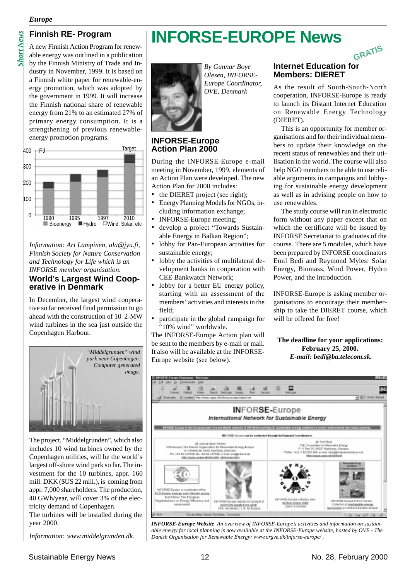#### *Europe*

A new Finnish Action Program for renewable energy was outlined in a publication by the Finnish Ministry of Trade and Industry in November, 1999. It is based on a Finnish white paper for renewable-energy promotion, which was adopted by the government in 1999. It will increase the Finnish national share of renewable energy from 21% to an estimated 27% of primary energy consumption. It is a strengthening of previous renewableenergy promotion programs.



*Information: Ari Lampinen, ala@jyu.fi, Finnish Society for Nature Conservation and Technology for Life which is an INFORSE member organisation.* **World's Largest Wind Cooperative in Denmark**

In December, the largest wind cooperative so far received final permission to go ahead with the construction of 10 2-MW wind turbines in the sea just outside the Copenhagen Harbour.



The project, "Middelgrunden", which also includes 10 wind turbines owned by the Copenhagen utilities, will be the world's largest off-shore wind park so far. The investment for the 10 turbines, appr. 160 mill. DKK (\$US 22 mill.), is coming from appr. 7,000 shareholders. The production, 40 GWh/year, will cover 3% of the electricity demand of Copenhagen.

The turbines will be installed during the year 2000.

*Information: www.middelgrunden.dk.*

# **Finnish RE- Program** | **INFORSE-EUROPE News**



*By Gunnar Boye Olesen, INFORSE-Europe Coordinator, OVE, Denmark*

## **INFORSE-Europe Action Plan 2000**

During the INFORSE-Europe e-mail meeting in November, 1999, elements of an Action Plan were developed. The new Action Plan for 2000 includes:

- the DIERET project (see right);
- Energy Planning Models for NGOs, including information exchange;
- INFORSE-Europe meeting;
- develop a project "Towards Sustainable Energy in Balkan Region";
- lobby for Pan-European activities for sustainable energy;
- lobby the activities of multilateral development banks in cooperation with CEE Bankwatch Network;
- lobby for a better EU energy policy, starting with an assessment of the members' activities and interests in the field;
- participate in the global campaign for "10% wind" worldwide.

The INFORSE-Europe Action plan will be sent to the members by e-mail or mail. It also will be available at the INFORSE-Europe website (see below).

# **Internet Education for Members: DIERET GRATIS**

As the result of South-South-North cooperation, INFORSE-Europe is ready to launch its Distant Internet Education on Renewable Energy Technology (DIERET).

This is an opportunity for member organisations and for their individual members to update their knowledge on the recent status of renewables and their utilisation in the world. The course will also help NGO members to be able to use reliable arguments in campaigns and lobbying for sustainable energy development as well as in advising people on how to use renewables.

The study course will run in electronic form without any paper except that on which the certificate will be issued by INFORSE Secretariat to graduates of the course. There are 5 modules, which have been prepared by INFORSE coordinators Emil Bedi and Raymond Myles: Solar Energy, Biomass, Wind Power, Hydro Power, and the introduction.

INFORSE-Europe is asking member organisations to encourage their membership to take the DIERET course, which will be offered for free!

**The deadline for your applications: February 25, 2000.** *E-mail: bedi@ba.telecom.sk.*



*INFORSE-Europe Website An overview of INFORSE-Europe's activities and information on sustainable energy for local planning is now available at the INFORSE-Europe website, hosted by OVE - The Danish Organisation for Renewable Energy: www.orgve.dk/inforse-europe/ .*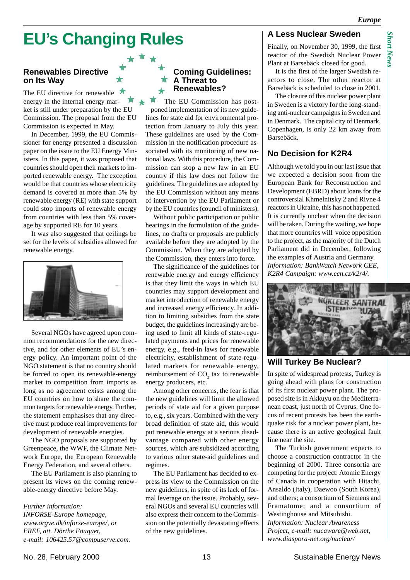*Short News* $\mathit{Mont New}$ 

# **EU's Changing Rules**

## **Renewables Directive on Its Way**

The EU directive for renewable energy in the internal energy market is still under preparation by the EU Commission. The proposal from the EU Commission is expected in May.

In December, 1999, the EU Commissioner for energy presented a discussion paper on the issue to the EU Energy Ministers. In this paper, it was proposed that countries should open their markets to imported renewable energy. The exception would be that countries whose electricity demand is covered at more than 5% by renewable energy (RE) with state support could stop imports of renewable energy from countries with less than 5% coverage by supported RE for 10 years.

It was also suggested that ceilings be set for the levels of subsidies allowed for renewable energy.



Several NGOs have agreed upon common recommendations for the new directive, and for other elements of EU's energy policy. An important point of the NGO statement is that no country should be forced to open its renewable-energy market to competition from imports as long as no agreement exists among the EU countries on how to share the common targets for renewable energy. Further, the statement emphasises that any directive must produce real improvements for development of renewable energies.

The NGO proposals are supported by Greenpeace, the WWF, the Climate Network Europe, the European Renewable Energy Federation, and several others.

The EU Parliament is also planning to present its views on the coming renewable-energy directive before May.

*Further information: INFORSE-Europe homepage, www.orgve.dk/inforse-europe/, or EREF, att. Dörthe Fouquet, e-mail: 106425.57@compuserve.com.*

## **Coming Guidelines: A Threat to Renewables?**

The EU Commission has postponed implementation of its new guidelines for state aid for environmental protection from January to July this year. These guidelines are used by the Commission in the notification procedure associated with its monitoring of new national laws. With this procedure, the Commission can stop a new law in an EU country if this law does not follow the guidelines. The guidelines are adopted by the EU Commission without any means of intervention by the EU Parliament or by the EU countries (council of ministers).

Without public participation or public hearings in the formulation of the guidelines, no drafts or proposals are publicly available before they are adopted by the Commission. When they are adopted by the Commission, they enters into force.

The significance of the guidelines for renewable energy and energy efficiency is that they limit the ways in which EU countries may support development and market introduction of renewable energy and increased energy efficiency. In addition to limiting subsidies from the state budget, the guidelines increasingly are being used to limit all kinds of state-regulated payments and prices for renewable energy, e.g., feed-in laws for renewable electricity, establishment of state-regulated markets for renewable energy, reimbursement of  $CO<sub>2</sub>$  tax to renewable energy producers, etc.

Among other concerns, the fear is that the new guidelines will limit the allowed periods of state aid for a given purpose to, e.g., six years. Combined with the very broad definition of state aid, this would put renewable energy at a serious disadvantage compared with other energy sources, which are subsidized according to various other state-aid guidelines and regimes.

The EU Parliament has decided to express its view to the Commission on the new guidelines, in spite of its lack of formal leverage on the issue. Probably, several NGOs and several EU countries will also express their concern to the Commission on the potentially devastating effects of the new guidelines.

# **A Less Nuclear Sweden**

Finally, on November 30, 1999, the first reactor of the Swedish Nuclear Power Plant at Barsebäck closed for good.

It is the first of the larger Swedish reactors to close. The other reactor at Barsebäck is scheduled to close in 2001.

The closure of this nuclear power plant in Sweden is a victory for the long-standing anti-nuclear campaigns in Sweden and in Denmark. The capital city of Denmark, Copenhagen, is only 22 km away from Barsebäck.

# **No Decision for K2R4**

Although we told you in our last issue that we expected a decision soon from the European Bank for Reconstruction and Development (EBRD) about loans for the controversial Khmelnitsky 2 and Rivne 4 reactors in Ukraine, this has not happened. It is currently unclear when the decision will be taken. During the waiting, we hope that more countries will voice opposition to the project, as the majority of the Dutch Parliament did in December, following the examples of Austria and Germany. *Information: BankWatch Network CEE, K2R4 Campaign: www.ecn.cz/k2r4/.*



#### **Will Turkey Be Nuclear?**

In spite of widespread protests, Turkey is going ahead with plans for construction of its first nuclear power plant. The proposed site is in Akkuyu on the Mediterranean coast, just north of Cyprus. One focus of recent protests has been the earthquake risk for a nuclear power plant, because there is an active geological fault line near the site.

The Turkish government expects to choose a construction contractor in the beginning of 2000. Three consortia are competing for the project: Atomic Energy of Canada in cooperation with Hitachi, Ansaldo (Italy), Daewoo (South Korea), and others; a consortium of Siemens and Framatome; and a consortium of Westinghouse and Mitsubishi. *Information: Nuclear Awareness Project, e-mail: nucaware@web.net, www.diaspora-net.org/nuclear/*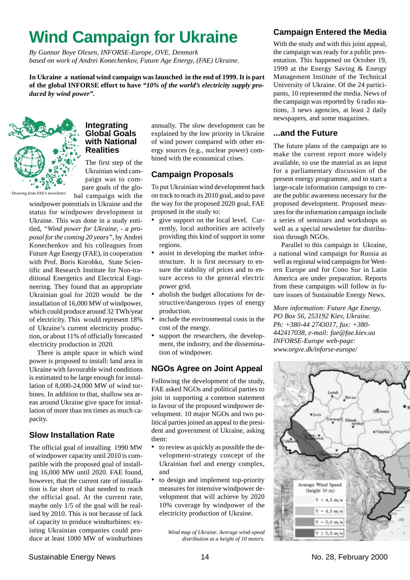# **Wind Campaign for Ukraine**

*By Gunnar Boye Olesen, INFORSE-Europe, OVE, Denmark based on work of Andrei Konechenkov, Future Age Energy, (FAE) Ukraine.*

**In Ukraine a national wind campaign was launched in the end of 1999. It is part of the global INFORSE effort to have** *"10% of the world's electricity supply produced by wind power".*



#### **Integrating Global Goals with National Realities**

The first step of the Ukrainian wind campaign was to compare goals of the glo-

bal campaign with the windpower potentials in Ukraine and the status for windpower development in Ukraine. This was done in a study entitled, *"Wind power for Ukraine, - a proposal for the coming 20 years"*, by Andrei Konechenkov and his colleagues from Future Age Energy (FAE), in cooperation with Prof. Boris Korobko, State Scientific and Research Institute for Non-traditional Energetics and Electrical Engineering. They found that an appropriate Ukrainian goal for 2020 would be the installation of 16,000 MW of windpower, which could produce around 32 TWh/year of electricity. This would represent 18% of Ukraine's current electricity production, or about 11% of officially forecasted electricity production in 2020.

There is ample space in which wind power is proposed to install: land area in Ukraine with favourable wind conditions is estimated to be large enough for installation of 8,000-24,000 MW of wind turbines. In addition to that, shallow sea areas around Ukraine give space for installation of more than ten times as much capacity.

# **Slow Installation Rate**

The official goal of installing 1990 MW of windpower capacity until 2010 is compatible with the proposed goal of installing 16,000 MW until 2020. FAE found, however, that the current rate of installation is far short of that needed to reach the official goal. At the current rate, maybe only 1/5 of the goal will be realised by 2010. This is not because of lack of capacity to produce windturbines: existing Ukrainian companies could produce at least 1000 MW of windturbines

annually. The slow development can be explained by the low priority in Ukraine of wind power compared with other energy sources (e.g., nuclear power) combined with the economical crises.

# **Campaign Proposals**

To put Ukrainian wind development back on track to reach its 2010 goal, and to pave the way for the proposed 2020 goal, FAE proposed in the study to:

- give support on the local level. Currently, local authorities are actively providing this kind of support in some regions.
- assist in developing the market infrastructure. It is first necessary to ensure the stability of prices and to ensure access to the general electric power grid.
- abolish the budget allocations for destructive/dangerous types of energy production.
- include the environmental costs in the cost of the energy.
- support the researchers, the development, the industry, and the dissemination of windpower.

# **NGOs Agree on Joint Appeal**

Following the development of the study, FAE asked NGOs and political parties to join in supporting a common statement in favour of the proposed windpower development. 10 major NGOs and two political parties joined an appeal to the president and government of Ukraine, asking them:

- to review as quickly as possible the development-strategy concept of the Ukrainian fuel and energy complex, and
- to design and implement top-priority measures for intensive windpower development that will achieve by 2020 10% coverage by windpower of the electricity production of Ukraine.

*Wind map of Ukraine. Average wind-speed distribution at a height of 10 meters.*

# **Campaign Entered the Media**

With the study and with this joint appeal, the campaign was ready for a public presentation. This happened on October 19, 1999 at the Energy Saving & Energy Management Institute of the Technical University of Ukraine. Of the 24 participants, 10 represented the media. News of the campaign was reported by 6 radio stations, 3 news agencies, at least 2 daily newspapers, and some magazines.

## **...and the Future**

The future plans of the campaign are to make the current report more widely available, to use the material as an input for a parliamentary discussion of the present energy programme, and to start a large-scale information campaign to create the public awareness necessary for the proposed development. Proposed measures for the information campaign include a series of seminars and workshops as well as a special newsletter for distribution through NGOs.

Parallel to this campaign in Ukraine, a national wind campaign for Russia as well as regional wind campaigns for Western Europe and for Cono Sur in Latin America are under preparation. Reports from these campaigns will follow in future issues of Sustainable Energy News.

*More information: Future Age Energy, PO Box 56, 253192 Kiev, Ukraine. Ph: +380-44 2743017, fax: +380- 442417038, e-mail: fae@fae.kiev.ua INFORSE-Europe web-page: www.orgve.dk/inforse-europe/*

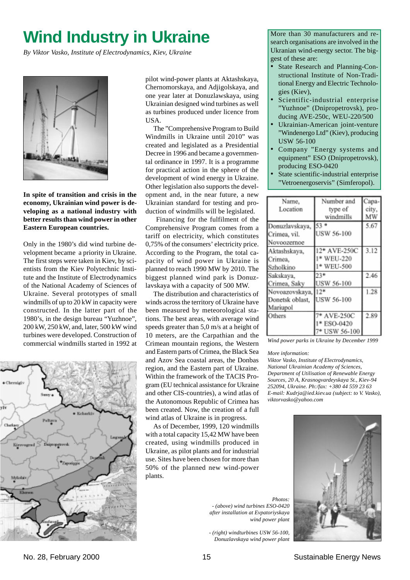# **Wind Industry in Ukraine**

*By Viktor Vasko, Institute of Electrodynamics, Kiev, Ukraine*



**In spite of transition and crisis in the economy, Ukrainian wind power is developing as a national industry with better results than wind power in other Eastern European countries.**

Only in the 1980's did wind turbine development became a priority in Ukraine. The first steps were taken in Kiev, by scientists from the Kiev Polytechnic Institute and the Institute of Electrodynamics of the National Academy of Sciences of Ukraine. Several prototypes of small windmills of up to 20 kW in capacity were constructed. In the latter part of the 1980's, in the design bureau "Yuzhnoe", 200 kW, 250 kW, and, later, 500 kW wind turbines were developed. Construction of commercial windmills started in 1992 at



pilot wind-power plants at Aktashskaya, Chernomorskaya, and Adjigolskaya, and one year later at Donuzlawskaya, using Ukrainian designed wind turbines as well as turbines produced under licence from USA.

The "Comprehensive Program to Build Windmills in Ukraine until 2010" was created and legislated as a Presidential Decree in 1996 and became a governmental ordinance in 1997. It is a programme for practical action in the sphere of the development of wind energy in Ukraine. Other legislation also supports the development and, in the near future, a new Ukrainian standard for testing and production of windmills will be legislated.

 Financing for the fulfilment of the Comprehensive Program comes from a tariff on electricity, which constitutes 0,75% of the consumers' electricity price. According to the Program, the total capacity of wind power in Ukraine is planned to reach 1990 MW by 2010. The biggest planned wind park is Donuzlavskaya with a capacity of 500 MW.

The distribution and characteristics of winds across the territory of Ukraine have been measured by meteorological stations. The best areas, with average wind speeds greater than 5,0 m/s at a height of 10 meters, are the Carpathian and the Crimean mountain regions, the Western and Eastern parts of Crimea, the Black Sea and Azov Sea coastal areas, the Donbas region, and the Eastern part of Ukraine. Within the framework of the TACIS Program (EU technical assistance for Ukraine and other CIS-countries), a wind atlas of the Autonomous Republic of Crimea has been created. Now, the creation of a full wind atlas of Ukraine is in progress.

As of December, 1999, 120 windmills with a total capacity 15,42 MW have been created, using windmills produced in Ukraine, as pilot plants and for industrial use. Sites have been chosen for more than 50% of the planned new wind-power plants.

*Photos: - (above) wind turbines ESO-0420 after installation at Evpatoriyskaya wind power plant*

*- (right) windturbines USW 56-100, Donuzlavskaya wind power plant*

More than 30 manufacturers and research organisations are involved in the Ukranian wind-energy sector. The biggest of these are:

- State Research and Planning-Constructional Institute of Non-Traditional Energy and Electric Technologies (Kiev),
- Scientific-industrial enterprise "Yuzhnoe" (Dnipropetrovsk), producing AVE-250c, WEU-220/500
- Ukrainian-American joint-venture "Windenergo Ltd" (Kiev), producing USW 56-100
- Company "Energy systems and equipment" ESO (Dnipropetrovsk), producing ESO-0420
- State scientific-industrial enterprise "Vetroenergoservis" (Simferopol).

| Name,           | Number and        | `apa- |
|-----------------|-------------------|-------|
| Location        | type of           | city, |
|                 | windmills         | МW    |
| Donuzlavskaya,  | 53.               | 5.67  |
| Crimea, vil.    | <b>USW 56-100</b> |       |
| Novoozernoe     |                   |       |
| Aktashskaya,    | 12* AVE-250C      | 3.12  |
| Crimea,         | 1* WEU-220        |       |
| Szholkino       | 1* WEU-500        |       |
| Sakskaya,       | 23*               | 2.46  |
| Crimea, Saky    | <b>USW 56-100</b> |       |
| Novoazovskaya,  | $12*$             | 1.28  |
| Donetsk oblast, | USW 56-100        |       |
| Mariupol        |                   |       |
| Others          | 7* AVE-250C       | 2.89  |
|                 | 1* ESO-0420       |       |
|                 | 7* USW 56-100     |       |

*Wind power parks in Ukraine by December 1999*

#### *More information:*

*Viktor Vasko, Institute of Electrodynamics, National Ukrainian Academy of Sciences, Department of Utilisation of Renewable Energy Sources, 20 A, Krasnogvardeyskaya St., Kiev-94 252094, Ukraine. Ph:/fax: +380 44 559 23 63 E-mail: Kudrja@ied.kiev.ua (subject: to V. Vasko), viktorvasko@yahoo.com*

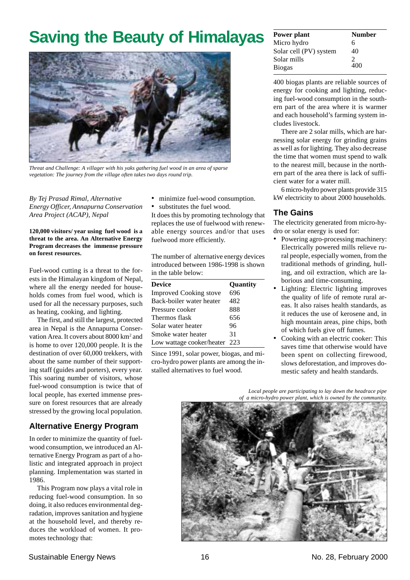# **Saving the Beauty of Himalayas**



*Threat and Challenge: A villager with his yaks gathering fuel wood in an area of sparse vegetation: The journey from the village often takes two days round trip.*

#### *By Tej Prasad Rimal, Alternative Energy Officer, Annapurna Conservation Area Project (ACAP), Nepal*

**120,000 visitors/ year using fuel wood is a threat to the area. An Alternative Energy Program decreases the immense pressure on forest resources.**

Fuel-wood cutting is a threat to the forests in the Himalayan kingdom of Nepal, where all the energy needed for households comes from fuel wood, which is used for all the necessary purposes, such as heating, cooking, and lighting.

The first, and still the largest, protected area in Nepal is the Annapurna Conservation Area. It covers about 8000 km<sup>2</sup> and is home to over 120,000 people. It is the destination of over 60,000 trekkers, with about the same number of their supporting staff (guides and porters), every year. This soaring number of visitors, whose fuel-wood consumption is twice that of local people, has exerted immense pressure on forest resources that are already stressed by the growing local population.

# **Alternative Energy Program**

In order to minimize the quantity of fuelwood consumption, we introduced an Alternative Energy Program as part of a holistic and integrated approach in project planning. Implementation was started in 1986.

This Program now plays a vital role in reducing fuel-wood consumption. In so doing, it also reduces environmental degradation, improves sanitation and hygiene at the household level, and thereby reduces the workload of women. It promotes technology that:

- minimize fuel-wood consumption.
- substitutes the fuel wood.

It does this by promoting technology that replaces the use of fuelwood with renewable energy sources and/or that uses fuelwood more efficiently.

The number of alternative energy devices introduced between 1986-1998 is shown in the table below:

| <b>Device</b>                 | Quantity |
|-------------------------------|----------|
| <b>Improved Cooking stove</b> | 696      |
| Back-boiler water heater      | 482      |
| Pressure cooker               | 888      |
| Thermos flask                 | 656      |
| Solar water heater            | 96       |
| Smoke water heater            | 31       |
| Low wattage cooker/heater 223 |          |
|                               |          |

Since 1991, solar power, biogas, and micro-hydro power plants are among the installed alternatives to fuel wood.

| Power plant            | <b>Number</b> |
|------------------------|---------------|
| Micro hydro            | 6             |
| Solar cell (PV) system | 40            |
| Solar mills            | 2             |
| <b>Biogas</b>          | 400           |

400 biogas plants are reliable sources of energy for cooking and lighting, reducing fuel-wood consumption in the southern part of the area where it is warmer and each household's farming system includes livestock.

There are 2 solar mills, which are harnessing solar energy for grinding grains as well as for lighting. They also decrease the time that women must spend to walk to the nearest mill, because in the northern part of the area there is lack of sufficient water for a water mill.

6 micro-hydro power plants provide 315 kW electricity to about 2000 households.

# **The Gains**

The electricity generated from micro-hydro or solar energy is used for:

- Powering agro-processing machinery: Electrically powered mills relieve rural people, especially women, from the traditional methods of grinding, hulling, and oil extraction, which are laborious and time-consuming.
- Lighting: Electric lighting improves the quality of life of remote rural areas. It also raises health standards, as it reduces the use of kerosene and, in high mountain areas, pine chips, both of which fuels give off fumes.
- Cooking with an electric cooker: This saves time that otherwise would have been spent on collecting firewood, slows deforestation, and improves domestic safety and health standards.

*Local people are participating to lay down the headrace pipe of a micro-hydro power plant, which is owned by the community.*

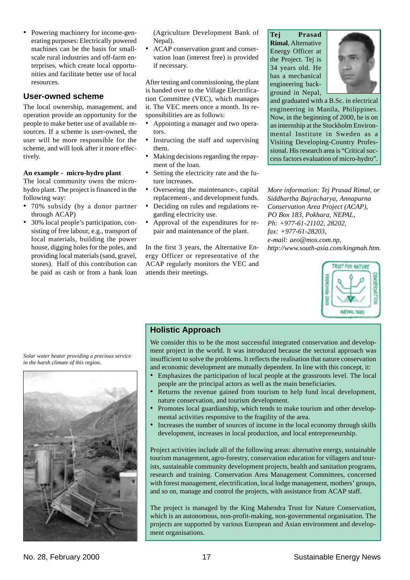• Powering machinery for income-generating purposes: Electrically powered machines can be the basis for smallscale rural industries and off-farm enterprises, which create local opportunities and facilitate better use of local resources.

## **User-owned scheme**

The local ownership, management, and operation provide an opportunity for the people to make better use of available resources. If a scheme is user-owned, the user will be more responsible for the scheme, and will look after it more effectively.

#### **An example - micro-hydro plant**

The local community owns the microhydro plant. The project is financed in the following way:

- 70% subsidy (by a donor partner through ACAP)
- 30% local people's participation, consisting of free labour, e.g., transport of local materials, building the power house, digging holes for the poles, and providing local materials (sand, gravel, stones). Half of this contribution can be paid as cash or from a bank loan

(Agriculture Development Bank of Nepal).

• ACAP conservation grant and conservation loan (interest free) is provided if necessary.

After testing and commissioning, the plant is handed over to the Village Electrification Committee (VEC), which manages it. The VEC meets once a month. Its responsibilities are as follows:

- Appointing a manager and two operators.
- Instructing the staff and supervising them.
- Making decisions regarding the repayment of the loan.
- Setting the electricity rate and the future increases.
- Overseeing the maintenance-, capital replacement-, and development funds.
- Deciding on rules and regulations regarding electricity use.
- Approval of the expenditures for repair and maintenance of the plant.

In the first 3 years, the Alternative Energy Officer or representative of the ACAP regularly monitors the VEC and attends their meetings.

**Tej Prasad Rimal**, Alternative Energy Officer at the Project. Tej is 34 years old. He has a mechanical engineering background in Nepal,



and graduated with a B.Sc. in electrical engineering in Manila, Philippines. Now, in the beginning of 2000, he is on an internship at the Stockholm Environmental Institute in Sweden as a Visiting Developing-Country Professional. His research area is "Critical success factors evaluation of micro-hydro".

*More information: Tej Prasad Rimal, or Siddhartha Bajracharya, Annapurna Conservation Area Project (ACAP), PO Box 183, Pokhara, NEPAL, Ph: +977-61-21102, 28202, fax: +977-61-28203, e-mail: aeo@mos.com.np, http://www.south-asia.com/kingmah.htm.*



## **Holistic Approach**

We consider this to be the most successful integrated conservation and development project in the world. It was introduced because the sectoral approach was insufficient to solve the problems. It reflects the realisation that nature conservation and economic development are mutually dependent. In line with this concept, it:

- Emphasizes the participation of local people at the grassroots level. The local people are the principal actors as well as the main beneficiaries.
- Returns the revenue gained from tourism to help fund local development, nature conservation, and tourism development.
- Promotes local guardianship, which tends to make tourism and other developmental activities responsive to the fragility of the area.
- Increases the number of sources of income in the local economy through skills development, increases in local production, and local entrepreneurship.

Project activities include all of the following areas: alternative energy, sustainable tourism management, agro-forestry, conservation education for villagers and tourists, sustainable community development projects, health and sanitation programs, research and training. Conservation Area Management Committees, concerned with forest management, electrification, local lodge management, mothers' groups, and so on, manage and control the projects, with assistance from ACAP staff.

The project is managed by the King Mahendra Trust for Nature Conservation, which is an autonomous, non-profit-making, non-governmental organisation. The projects are supported by various European and Asian environment and development organisations.

*Solar water heater providing a precious service in the harsh climate of this region.*

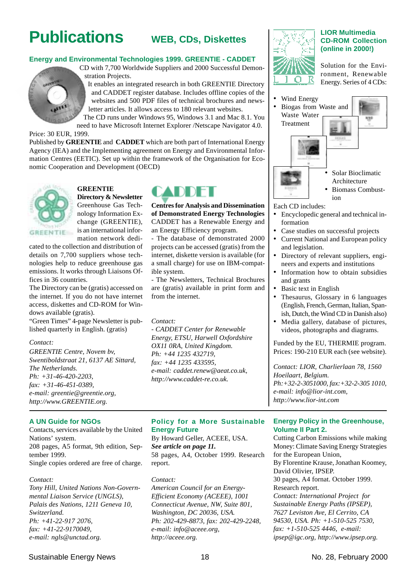# **Publications**

# **WEB, CDs, Diskettes**

#### **Energy and Environmental Technologies 1999. GREENTIE - CADDET**

CD with 7,700 Worldwide Suppliers and 2000 Successful Demonstration Projects. It enables an integrated research in both GREENTIE Directory

and CADDET register database. Includes offline copies of the websites and 500 PDF files of technical brochures and newsletter articles. It allows access to 180 relevant websites.

The CD runs under Windows 95, Windows 3.1 and Mac 8.1. You need to have Microsoft Internet Explorer /Netscape Navigator 4.0.

Price: 30 EUR, 1999.

Published by **GREENTIE** and **CADDET** which are both part of International Energy Agency (IEA) and the Implementing agreement on Energy and Environmental Information Centres (EETIC). Set up within the framework of the Organisation for Economic Cooperation and Development (OECD)



# **GREENTIE**

**Directory & Newsletter** Greenhouse Gas Technology Information Exchange (GREENTIE), is an international information network dedi-

cated to the collection and distribution of details on 7,700 suppliers whose technologies help to reduce greenhouse gas emissions. It works through Liaisons Offices in 36 countries.

The Directory can be (gratis) accessed on the internet. If you do not have internet access, diskettes and CD-ROM for Windows available (gratis).

"Green Times" 4-page Newsletter is published quarterly in English. (gratis)

#### *Contact:*

*GREENTIE Centre, Novem bv, Swentiboldstraat 21, 6137 AE Sittard, The Netherlands. Ph: +31-46-420-2203, fax: +31-46-451-0389, e-mail: greentie@greentie.org, http://www.GREENTIE.org.*

#### **A UN Guide for NGOs**

Contacts, services available by the United Nations' system. 208 pages, A5 format, 9th edition, September 1999. Single copies ordered are free of charge.

#### *Contact:*

*Tony Hill, United Nations Non-Governmental Liaison Service (UNGLS), Palais des Nations, 1211 Geneva 10, Switzerland. Ph: +41-22-917 2076, fax: +41-22-9170049, e-mail: ngls@unctad.org.*



**Centres for Analysis and Dissemination of Demonstrated Energy Technologies** CADDET has a Renewable Energy and an Energy Efficiency program.

- The database of demonstrated 2000 projects can be accessed (gratis) from the internet, diskette version is available (for a small charge) for use on IBM-compatible system.

- The Newsletters, Technical Brochures are (gratis) available in print form and from the internet.

#### *Contact:*

*- CADDET Center for Renewable Energy, ETSU, Harwell Oxfordshire OX11 0RA, United Kingdom. Ph: +44 1235 432719, fax: +44 1235 433595, e-mail: caddet.renew@aeat.co.uk, http://www.caddet-re.co.uk.*

#### **Policy for a More Sustainable Energy Future**

By Howard Geller, ACEEE, USA. *See article on page 11.* 58 pages, A4, October 1999. Research report.

*Contact:*

*American Council for an Energy-Efficient Economy (ACEEE), 1001 Connecticut Avenue, NW, Suite 801, Washington, DC 20036, USA. Ph: 202-429-8873, fax: 202-429-2248, e-mail: info@aceee.org, http://aceee.org.*



#### **LIOR Multimedia CD-ROM Collection (online in 2000!)**

Solution for the Environment, Renewable Energy. Series of 4 CDs:



#### Each CD includes:

- Encyclopedic general and technical information
- Case studies on successful projects
- Current National and European policy and legislation.
- Directory of relevant suppliers, engineers and experts and institutions
- Information how to obtain subsidies and grants
- Basic text in English
- Thesaurus, Glossary in 6 languages (English, French, German, Italian, Spanish, Dutch, the Wind CD in Danish also)
- Media gallery, database of pictures, videos, photographs and diagrams.

Funded by the EU, THERMIE program. Prices: 190-210 EUR each (see website).

*Contact: LIOR, Charlierlaan 78, 1560 Hoeilaart, Belgium. Ph:+32-2-3051000, fax:+32-2-305 1010, e-mail: info@lior-int.com, http://www.lior-int.com*

#### **Energy Policy in the Greenhouse, Volume II Part 2.**

Cutting Carbon Emissions while making Money: Climate Saving Energy Strategies for the European Union, By Florentine Krause, Jonathan Koomey, David Olivier, IPSEP. 30 pages, A4 fornat. October 1999. Research report. *Contact: International Project for Sustainable Energy Paths (IPSEP), 7627 Leviston Ave, El Cerrito, CA 94530, USA. Ph: +1-510-525 7530, fax: +1-510-525 4446, e-mail: ipsep@igc.org, http://www.ipsep.org.*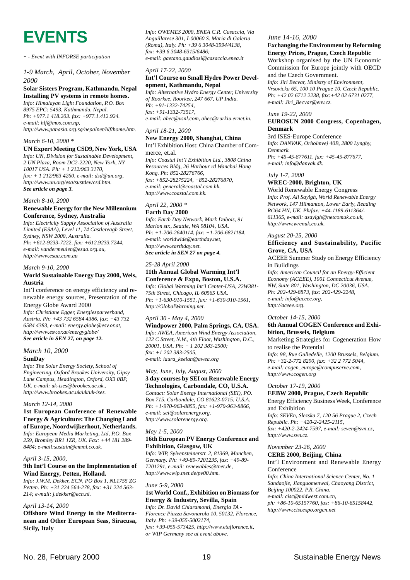**EVENTS**

*\* = Event with INFORSE participation*

#### *1-9 March, April, October, November 2000*

# **Solar Sisters Program, Kathmandu, Nepal**

**Installing PV systems in remote homes.** *Info: Himalayan Light Foundation, P.O. Box 8975 EPC: 5493, Kathmandu, Nepal. Ph: +977.1 418.203. fax: +977.1.412.924. e-mail: hlf@mos.com.np,*

*http://www.panasia.org.sg/nepalnet/hlf/home.htm.*

#### *March 6-10, 2000 \**

**UN Expert Meeting CSD9, New York, USA** *Info: UN, Division for Sustainable Development, 2 UN Plaza, Room DC2-2220, New York, NY 10017 USA. Ph: + 1 212/963 3170, fax: + 1 212/963 4260, e-mail: dsd@un.org, http://www.un.org/esa/sustdev/csd.htm.*

*See article on page 3.*

*March 8-10, 2000*

#### **Renewable Energy for the New Millennium Conference, Sydney, Australia**

*Info: Electricity Supply Association of Australia Limited (ESAA), Level 11, 74 Castlereagh Street, Sydney, NSW 2000, Australia. Ph: +612-9233-7222, fax: +612.9233.7244, e-mail: vandermeulen@esaa.org.au, http://www.esaa.com.au*

#### *March 9-10, 2000*

#### **World Sustainable Energy Day 2000, Wels, Austria**

Int'l conference on energy efficiency and renewable energy sources, Presentation of the Energy Globe Award 2000 *Info: Christiane Egger, Energiesparverband, Austria. Ph: +43 732 6584 4386, fax: +43 732 6584 4383, e-mail: energy.globe@esv.or.at, http://www.esv.or.at/energyglobe/ See article in SEN 27, on page 12.*

# *March 10, 2000*

#### **SunDay**

*Info: The Solar Energy Society, School of Engineering, Oxford Brookes University, Gipsy Lane Campus, Headington, Oxford, OX3 0BP, UK. e-mail: uk-ises@brookes.ac.uk., http://www.brookes.ac.uk/uk/uk-ises.*

#### *March 12-14, 2000*

#### **1st European Conference of Renewable Energy & Agriculture: The Changing Land of Europe, Noordwijkerhout, Netherlands.**

*Info: European Media Marketing, Ltd, P.O. Box 259, Bromley BR1 1ZR, UK. Fax: +44 181 289- 8484; e-mail:sustain@emml.co.uk.*

#### *April 3-15, 2000,*

#### **9th Int'l Course on the Implementation of Wind Energy, Petten, Holland.**

*Info: J.W.M. Dekker, ECN, PO Box 1, NL1755 ZG Petten. Ph: +31 224 564-278, fax: +31 224 563- 214; e-mail: j.dekker@ecn.nl.*

#### *April 13-14, 2000*

**Offshore Wind Energy in the Mediterranean and Other European Seas, Siracusa, Sicily, Italy**

*Info: OWEMES 2000, ENEA C.R. Casaccia, Via Anguillarese 301, I-00060 S. Maria di Galeria (Roma), Italy. Ph: +39 6 3048-3994/4138, fax: +39 6 3048-6315/6486; e-mail: gaetano.gaudiosi@casaccia.enea.it*

#### *April 17-22, 2000* **Int'l Course on Small Hydro Power Devel-**

**opment, Kathmandu, Nepal** *Info: Alternative Hydro Energy Center, University of Roorkee, Roorkee, 247 667, UP India. Ph: +91-1332-74254, fax: +91-1332-73517, e-mail: ahec@vsnl.com, ahec@rurkiu.ernet.in.*

## *April 18-21, 2000*

#### **New Energy 2000, Shanghai, China** Int'l Exhibition.Host: China Chamber of Commerce, et.al.

*Info: Coastal Int'l Exhibition Ltd., 3808 China Resources Bldg, 26 Harbour rd Wanchai Hong Kong. Ph: 852-28276766, fax: +852-28275224, +852-28276870, e-mail: general@coastal.com.hk, http://www.coastal.com.hk.*

#### *April 22, 2000 \** **Earth Day 2000**

*Info: Earth Day Network, Mark Dubois, 91 Marion str., Seattle, WA 98104, USA. Ph: +1-206-2640114, fax: +1-206-6821184, e-mail: worldwide@earthday.net, http://www.earthday.net. See article in SEN 27 on page 4.*

*25-28 April 2000*

#### **11th Annual Global Warming Int'l Conference & Expo, Boston, U.S.A.**

*Info: Global Warming Int'l Center-USA, 22W381- 75th Street, Chicago, IL 60565 USA. Ph: +1-630-910-1551, fax: +1-630-910-1561, http://GlobalWarming.net.*

#### *April 30 - May 4, 2000*

**Windpower 2000, Palm Springs, CA, USA.** *Info: AWEA, American Wind Energy Association, 122 C Street, N.W., 4th Floor, Washington, D.C., 20001, USA. Ph: + 1 202 383-2500; fax: +1 202 383-2505, e-mail: laura\_keelan@awea.org*

#### *May, June, July, August, 2000* **3 day courses by SEI on Renewable Energy Technologies, Carbondale, CO, U.S.A.** *Contact: Solar Energy International (SEI), PO.*

*Box 715, Carbondale, CO 81623-0715, U.S.A. Ph: +1-970-963-8855, fax: +1-970-963-8866, e-mail: sei@solarenergy.org. http://www.solarenergy.org.*

#### *May 1-5, 2000* **16th European PV Energy Conference and Exhibition, Glasgow, UK**

*Info: WIP, Sylvensteinerstr. 2, 81369, Munchen, Germany. Ph: +49-89-7201235, fax: +49-89- 7201291, e-mail: renewables@tnet.de, http://www.wip.tnet.de/pv00.htm.*

#### *June 5-9, 2000*

#### **1st World Conf., Exhibition on Biomass for Energy & Industry, Sevilla, Spain**

*Info: Dr. David Chiaramonti, Energia TA - Florence Piazza Savonarola 10, 50132, Florence, Italy. Ph: +39-055-5002174, fax: +39-055-573425, http://www.etaflorence.it, or WIP Germany see at event above.*

#### *June 14-16, 2000*

#### **Exchanging the Environment by Reforming Energy Prices, Prague, Czech Republic**

Workshop organised by the UN Economic Commission for Europe jointly with OECD and the Czech Government.

*Info: Jiri Becvar, Ministry of Environment, Vrsovicka 65, 100 10 Prague 10, Czech Republic. Ph: +42 02 6712 2238, fax:+42 02 6731 0277, e-mail: Jiri\_Becvar@env.cz.*

## *June 19-22, 2000* **EUROSUN 2000 Congress, Copenhagen,**

#### **Denmark** 3rd ISES-Europe Conference *Info: DANVAK, Orholmvej 40B, 2800 Lyngby, Denmark. Ph: +45-45-877611, fax: +45-45-877677, e-mail: info@danvak.dk.*

*July 1-7, 2000* **WREC-2000, Brighton, UK**

World Renewable Energy Congress *Info: Prof. Ali Sayigh, World Renewable Energy Network, 147 Hilmanton, Lower Early, Reading RG64 HN, UK. Ph/fax: +44-1189-611364/- 611365, e-mail: asayigh@netcomuk.co.uk, http://www.wrenuk.co.uk.*

#### *August 20-25, 2000* **Efficiency and Sustainability, Pacific Grove, CA, USA**

ACEEE Summer Study on Energy Efficiency in Buildings

*Info: American Council for an Energy-Efficient Economy (ACEEE), 1001 Connecticut Avenue, NW, Suite 801, Washington, DC 20036, USA. Ph: 202-429-8873, fax: 202-429-2248, e-mail: info@aceee.org, http://aceee.org.*

*October 14-15, 2000*

#### **6th Annual COGEN Conference and Exhibition, Brussels, Belgium**

Marketing Strategies for Cogeneration How to realise the Potential *Info: 98, Rue Gulledelle, 1200 Brussels, Belgium. Ph: +32-2-772 8290, fax: +32 2 772 5044,*

*e-mail: cogen\_europe@compuserve.com, http://www.cogen.org*

#### *October 17-19, 2000*

**EEBW 2000, Prague, Czech Republic** Energy Efficiency Business Week, Conference and Exhibition *Info: SEVEn, Slezska 7, 120 56 Prague 2, Czech*

*Republic. Ph: +420-2-2425-2115, fax: +420-2-2424-7597, e-mail: seven@svn.cz, http://www.svn.cz.*

#### *November 23-26, 2000* **CERE 2000, Beijing, China**

Int'l Environment and Renewable Energy Conference *Info: China International Science Center, No. 1 Sandaojie, Jianguomenwai, Chaoyang District, Beijing 100022, P.R. China. e-mail: cisc@midwest.com.cn, ph: +86-10-65157760, fax: +86-10-65158442, http://www.ciscexpo.orgcn.net*